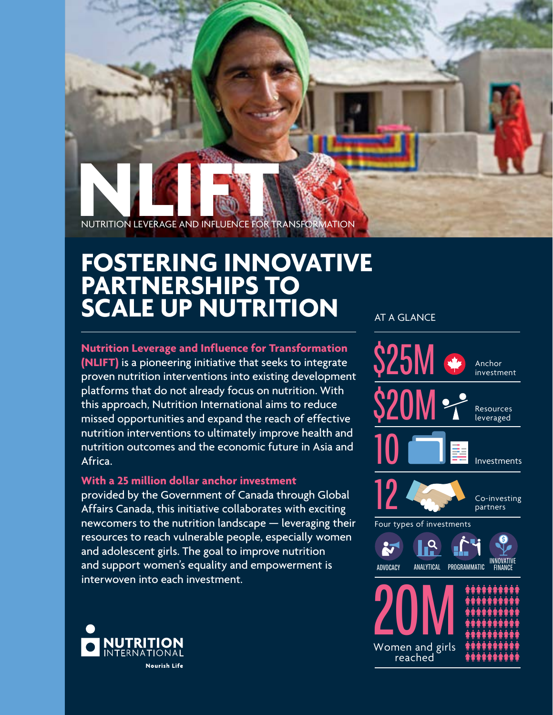NUTRITION LEVERAGE AND INFLUENCE FOR TRANSFORMATION

## **FOSTERING INNOVATIVE PARTNERSHIPS TO SCALE UP NUTRITION**

**Nutrition Leverage and Influence for Transformation (NLIFT)** is a pioneering initiative that seeks to integrate proven nutrition interventions into existing development platforms that do not already focus on nutrition. With this approach, Nutrition International aims to reduce missed opportunities and expand the reach of effective nutrition interventions to ultimately improve health and nutrition outcomes and the economic future in Asia and Africa.

#### **With a 25 million dollar anchor investment**

provided by the Government of Canada through Global Affairs Canada, this initiative collaborates with exciting newcomers to the nutrition landscape — leveraging their resources to reach vulnerable people, especially women and adolescent girls. The goal to improve nutrition and support women's equality and empowerment is interwoven into each investment.



#### **AT A GLANCE**